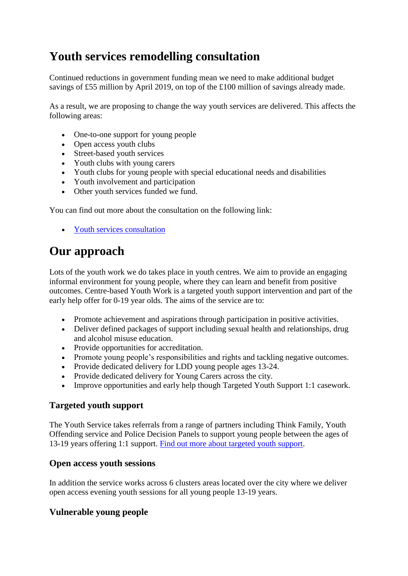# **Youth services remodelling consultation**

Continued reductions in government funding mean we need to make additional budget savings of £55 million by April 2019, on top of the £100 million of savings already made.

As a result, we are proposing to change the way youth services are delivered. This affects the following areas:

- One-to-one support for young people
- Open access youth clubs
- Street-based youth services
- Youth clubs with young carers
- Youth clubs for young people with special educational needs and disabilities
- Youth involvement and participation
- Other youth services funded we fund.

You can find out more about the consultation on the following link:

• [Youth services consultation](https://consultations.leicester.gov.uk/communications/youth-service-remodelling-consultation/)

## **Our approach**

Lots of the youth work we do takes place in youth centres. We aim to provide an engaging informal environment for young people, where they can learn and benefit from positive outcomes. Centre-based Youth Work is a targeted youth support intervention and part of the early help offer for 0-19 year olds. The aims of the service are to:

- Promote achievement and aspirations through participation in positive activities.
- Deliver defined packages of support including sexual health and relationships, drug and alcohol misuse education.
- Provide opportunities for accreditation.
- Promote young people's responsibilities and rights and tackling negative outcomes.
- Provide dedicated delivery for LDD young people ages 13-24.
- Provide dedicated delivery for Young Carers across the city.
- Improve opportunities and early help though Targeted Youth Support 1:1 casework.

#### **Targeted youth support**

The Youth Service takes referrals from a range of partners including Think Family, Youth Offending service and Police Decision Panels to support young people between the ages of 13-19 years offering 1:1 support. [Find out more about targeted youth support.](/%7blocalLink:12708%7d)

#### **Open access youth sessions**

In addition the service works across 6 clusters areas located over the city where we deliver open access evening youth sessions for all young people 13-19 years.

## **Vulnerable young people**